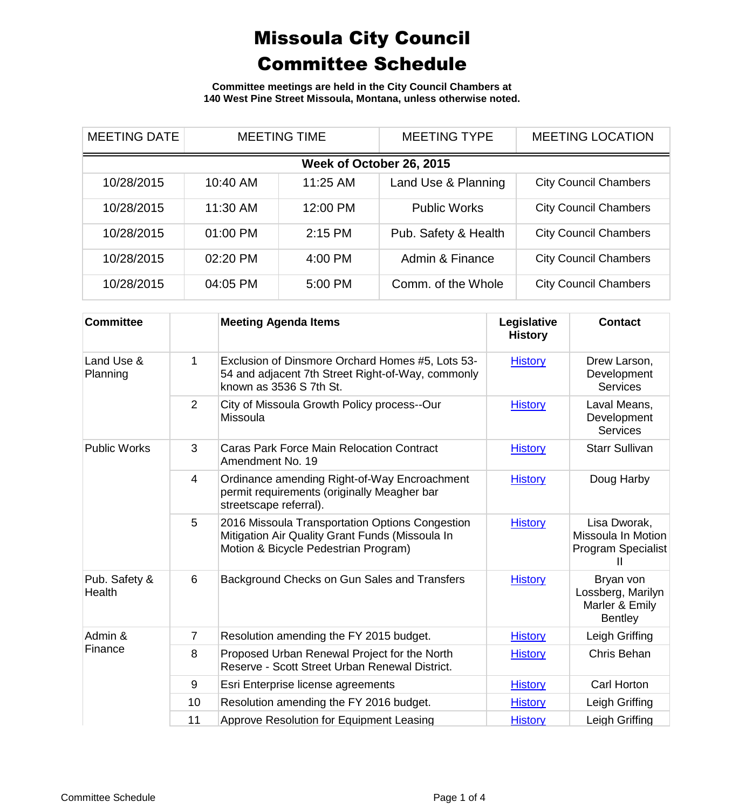**Committee meetings are held in the City Council Chambers at 140 West Pine Street Missoula, Montana, unless otherwise noted.**

| <b>MEETING DATE</b>      | <b>MEETING TIME</b> |          | <b>MEETING TYPE</b>  | <b>MEETING LOCATION</b>      |  |  |
|--------------------------|---------------------|----------|----------------------|------------------------------|--|--|
| Week of October 26, 2015 |                     |          |                      |                              |  |  |
| 10/28/2015               | 10:40 AM            | 11:25 AM | Land Use & Planning  | <b>City Council Chambers</b> |  |  |
| 10/28/2015               | 11:30 AM            | 12:00 PM | <b>Public Works</b>  | <b>City Council Chambers</b> |  |  |
| 10/28/2015               | 01:00 PM            | 2:15 PM  | Pub. Safety & Health | <b>City Council Chambers</b> |  |  |
| 10/28/2015               | 02:20 PM            | 4:00 PM  | Admin & Finance      | <b>City Council Chambers</b> |  |  |
| 10/28/2015               | 04:05 PM            | 5:00 PM  | Comm. of the Whole   | <b>City Council Chambers</b> |  |  |

| <b>Committee</b>        |                | <b>Meeting Agenda Items</b>                                                                                                                | Legislative<br><b>History</b> | <b>Contact</b>                                                     |
|-------------------------|----------------|--------------------------------------------------------------------------------------------------------------------------------------------|-------------------------------|--------------------------------------------------------------------|
| Land Use &<br>Planning  | 1              | Exclusion of Dinsmore Orchard Homes #5, Lots 53-<br>54 and adjacent 7th Street Right-of-Way, commonly<br>known as 3536 S 7th St.           | <b>History</b>                | Drew Larson,<br>Development<br><b>Services</b>                     |
|                         | 2              | City of Missoula Growth Policy process--Our<br><b>Missoula</b>                                                                             | <b>History</b>                | Laval Means,<br>Development<br><b>Services</b>                     |
| <b>Public Works</b>     | 3              | <b>Caras Park Force Main Relocation Contract</b><br>Amendment No. 19                                                                       | <b>History</b>                | <b>Starr Sullivan</b>                                              |
|                         | 4              | Ordinance amending Right-of-Way Encroachment<br>permit requirements (originally Meagher bar<br>streetscape referral).                      | <b>History</b>                | Doug Harby                                                         |
|                         | 5              | 2016 Missoula Transportation Options Congestion<br>Mitigation Air Quality Grant Funds (Missoula In<br>Motion & Bicycle Pedestrian Program) | <b>History</b>                | Lisa Dworak,<br>Missoula In Motion<br><b>Program Specialist</b>    |
| Pub. Safety &<br>Health | 6              | Background Checks on Gun Sales and Transfers                                                                                               | <b>History</b>                | Bryan von<br>Lossberg, Marilyn<br>Marler & Emily<br><b>Bentley</b> |
| Admin &<br>Finance      | $\overline{7}$ | Resolution amending the FY 2015 budget.                                                                                                    | <b>History</b>                | Leigh Griffing                                                     |
|                         | 8              | Proposed Urban Renewal Project for the North<br>Reserve - Scott Street Urban Renewal District.                                             | <b>History</b>                | Chris Behan                                                        |
|                         | 9              | Esri Enterprise license agreements                                                                                                         | <b>History</b>                | Carl Horton                                                        |
|                         | 10             | Resolution amending the FY 2016 budget.                                                                                                    | <b>History</b>                | Leigh Griffing                                                     |
|                         | 11             | Approve Resolution for Equipment Leasing                                                                                                   | <b>History</b>                | Leigh Griffing                                                     |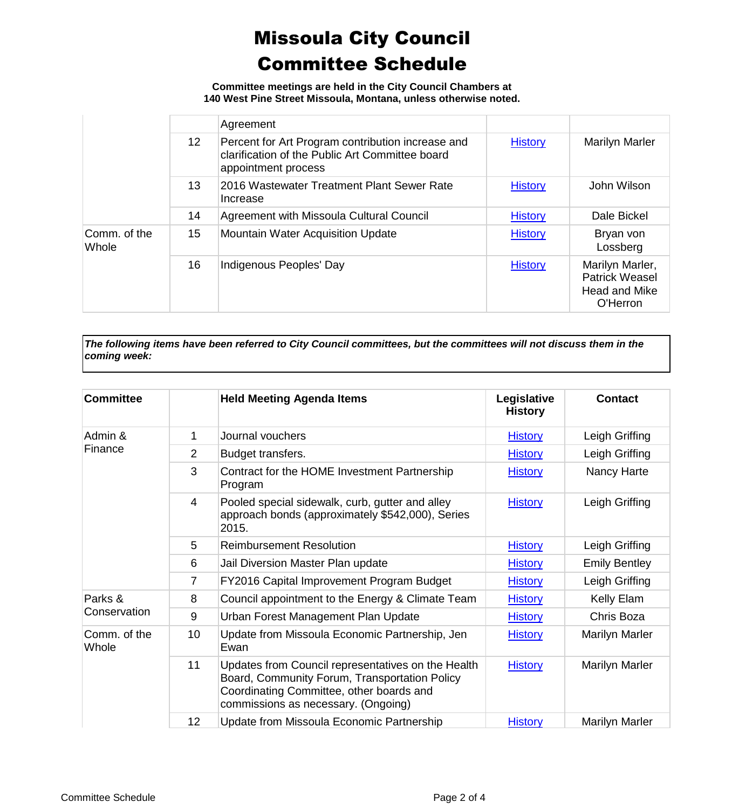**Committee meetings are held in the City Council Chambers at 140 West Pine Street Missoula, Montana, unless otherwise noted.**

|                       | 12 <sup>°</sup><br>13<br>14<br>15 | Agreement                                                                                                                   |                |                                                                              |
|-----------------------|-----------------------------------|-----------------------------------------------------------------------------------------------------------------------------|----------------|------------------------------------------------------------------------------|
|                       |                                   | Percent for Art Program contribution increase and<br>clarification of the Public Art Committee board<br>appointment process | <b>History</b> | Marilyn Marler                                                               |
|                       |                                   | 2016 Wastewater Treatment Plant Sewer Rate<br>Increase                                                                      | <b>History</b> | John Wilson                                                                  |
|                       |                                   | Agreement with Missoula Cultural Council                                                                                    | <b>History</b> | Dale Bickel                                                                  |
| Comm. of the<br>Whole |                                   | <b>Mountain Water Acquisition Update</b>                                                                                    | <b>History</b> | Bryan von<br>Lossberg                                                        |
|                       | 16                                | Indigenous Peoples' Day                                                                                                     | <b>History</b> | Marilyn Marler,<br><b>Patrick Weasel</b><br><b>Head and Mike</b><br>O'Herron |

*The following items have been referred to City Council committees, but the committees will not discuss them in the coming week:*

| <b>Committee</b>      |                 | <b>Held Meeting Agenda Items</b>                                                                                                                                                       | Legislative<br><b>History</b> | <b>Contact</b>       |
|-----------------------|-----------------|----------------------------------------------------------------------------------------------------------------------------------------------------------------------------------------|-------------------------------|----------------------|
| Admin &               | 1               | Journal vouchers                                                                                                                                                                       | <b>History</b>                | Leigh Griffing       |
| Finance               | $\overline{2}$  | Budget transfers.                                                                                                                                                                      | <b>History</b>                | Leigh Griffing       |
|                       | 3               | Contract for the HOME Investment Partnership<br>Program                                                                                                                                | <b>History</b>                | Nancy Harte          |
|                       | $\overline{4}$  | Pooled special sidewalk, curb, gutter and alley<br>approach bonds (approximately \$542,000), Series<br>2015.                                                                           | <b>History</b>                | Leigh Griffing       |
|                       | 5               | <b>Reimbursement Resolution</b>                                                                                                                                                        | <b>History</b>                | Leigh Griffing       |
|                       | 6               | Jail Diversion Master Plan update                                                                                                                                                      | <b>History</b>                | <b>Emily Bentley</b> |
|                       | $\overline{7}$  | FY2016 Capital Improvement Program Budget                                                                                                                                              | <b>History</b>                | Leigh Griffing       |
| Parks &               | 8               | Council appointment to the Energy & Climate Team                                                                                                                                       | <b>History</b>                | Kelly Elam           |
| Conservation          | 9               | Urban Forest Management Plan Update                                                                                                                                                    | <b>History</b>                | Chris Boza           |
| Comm. of the<br>Whole | 10 <sup>°</sup> | Update from Missoula Economic Partnership, Jen<br>Ewan                                                                                                                                 | <b>History</b>                | Marilyn Marler       |
|                       | 11              | Updates from Council representatives on the Health<br>Board, Community Forum, Transportation Policy<br>Coordinating Committee, other boards and<br>commissions as necessary. (Ongoing) | <b>History</b>                | Marilyn Marler       |
|                       | 12              | Update from Missoula Economic Partnership                                                                                                                                              | <b>History</b>                | Marilyn Marler       |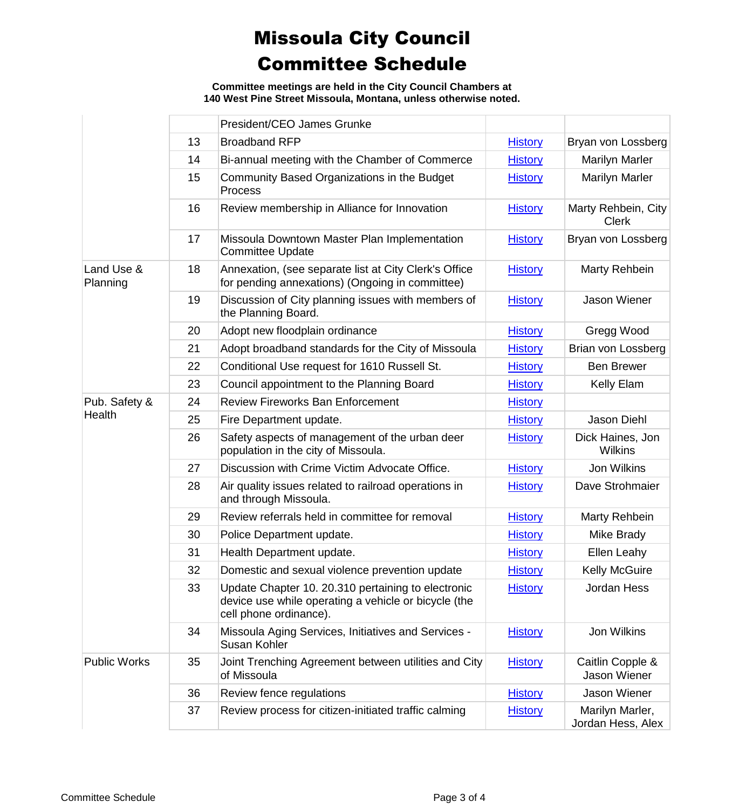**Committee meetings are held in the City Council Chambers at 140 West Pine Street Missoula, Montana, unless otherwise noted.**

|                        |    | President/CEO James Grunke                                                                                                           |                |                                      |
|------------------------|----|--------------------------------------------------------------------------------------------------------------------------------------|----------------|--------------------------------------|
|                        | 13 | <b>Broadband RFP</b>                                                                                                                 | <b>History</b> | Bryan von Lossberg                   |
|                        | 14 | Bi-annual meeting with the Chamber of Commerce                                                                                       | <b>History</b> | <b>Marilyn Marler</b>                |
|                        | 15 | Community Based Organizations in the Budget<br><b>Process</b>                                                                        | <b>History</b> | <b>Marilyn Marler</b>                |
|                        | 16 | Review membership in Alliance for Innovation                                                                                         | <b>History</b> | Marty Rehbein, City<br><b>Clerk</b>  |
|                        | 17 | Missoula Downtown Master Plan Implementation<br><b>Committee Update</b>                                                              | <b>History</b> | Bryan von Lossberg                   |
| Land Use &<br>Planning | 18 | Annexation, (see separate list at City Clerk's Office<br>for pending annexations) (Ongoing in committee)                             | <b>History</b> | Marty Rehbein                        |
|                        | 19 | Discussion of City planning issues with members of<br>the Planning Board.                                                            | <b>History</b> | Jason Wiener                         |
|                        | 20 | Adopt new floodplain ordinance                                                                                                       | <b>History</b> | Gregg Wood                           |
|                        | 21 | Adopt broadband standards for the City of Missoula                                                                                   | <b>History</b> | Brian von Lossberg                   |
|                        | 22 | Conditional Use request for 1610 Russell St.                                                                                         | <b>History</b> | <b>Ben Brewer</b>                    |
|                        | 23 | Council appointment to the Planning Board                                                                                            | <b>History</b> | Kelly Elam                           |
| Pub. Safety &          | 24 | <b>Review Fireworks Ban Enforcement</b>                                                                                              | <b>History</b> |                                      |
| Health                 | 25 | Fire Department update.                                                                                                              | <b>History</b> | Jason Diehl                          |
|                        | 26 | Safety aspects of management of the urban deer<br>population in the city of Missoula.                                                | <b>History</b> | Dick Haines, Jon<br><b>Wilkins</b>   |
|                        | 27 | Discussion with Crime Victim Advocate Office.                                                                                        | <b>History</b> | Jon Wilkins                          |
|                        | 28 | Air quality issues related to railroad operations in<br>and through Missoula.                                                        | <b>History</b> | Dave Strohmaier                      |
|                        | 29 | Review referrals held in committee for removal                                                                                       | <b>History</b> | Marty Rehbein                        |
|                        | 30 | Police Department update.                                                                                                            | <b>History</b> | Mike Brady                           |
|                        | 31 | Health Department update.                                                                                                            | <b>History</b> | Ellen Leahy                          |
|                        | 32 | Domestic and sexual violence prevention update                                                                                       | <b>History</b> | <b>Kelly McGuire</b>                 |
|                        | 33 | Update Chapter 10. 20.310 pertaining to electronic<br>device use while operating a vehicle or bicycle (the<br>cell phone ordinance). | <b>History</b> | Jordan Hess                          |
|                        | 34 | Missoula Aging Services, Initiatives and Services -<br>Susan Kohler                                                                  | <b>History</b> | Jon Wilkins                          |
| <b>Public Works</b>    | 35 | Joint Trenching Agreement between utilities and City<br>of Missoula                                                                  | <b>History</b> | Caitlin Copple &<br>Jason Wiener     |
|                        | 36 | Review fence regulations                                                                                                             | <b>History</b> | Jason Wiener                         |
|                        | 37 | Review process for citizen-initiated traffic calming                                                                                 | <b>History</b> | Marilyn Marler,<br>Jordan Hess, Alex |